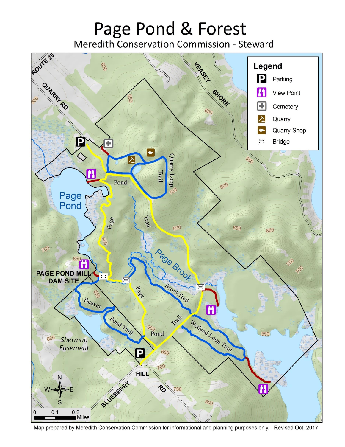# Page Pond & Forest

Meredith Conservation Commission - Steward



Map prepared by Meredith Conservation Commission for informational and planning purposes only. Revised Oct. 2017